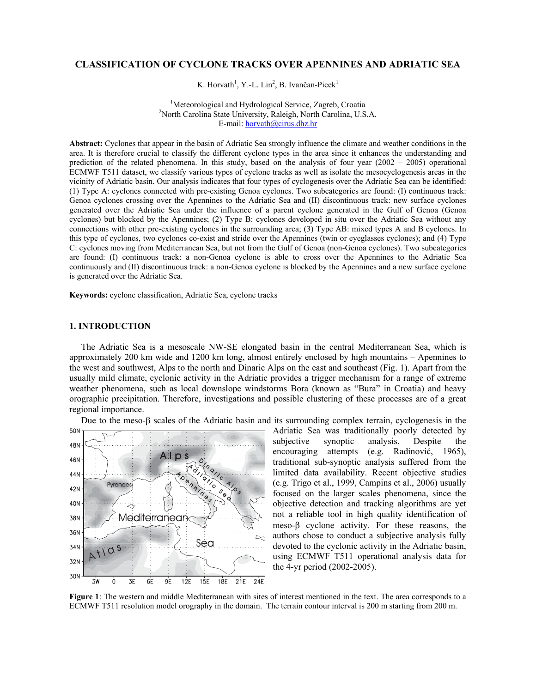# **CLASSIFICATION OF CYCLONE TRACKS OVER APENNINES AND ADRIATIC SEA**

K. Horvath<sup>1</sup>, Y.-L. Lin<sup>2</sup>, B. Ivančan-Picek<sup>1</sup>

<sup>1</sup>Meteorological and Hydrological Service, Zagreb, Croatia <sup>2</sup>North Carolina State University, Beleich, North Carolina U.S. <sup>2</sup>North Carolina State University, Raleigh, North Carolina, U.S.A. E-mail: horvath@cirus.dhz.hr

**Abstract:** Cyclones that appear in the basin of Adriatic Sea strongly influence the climate and weather conditions in the area. It is therefore crucial to classify the different cyclone types in the area since it enhances the understanding and prediction of the related phenomena. In this study, based on the analysis of four year (2002 – 2005) operational ECMWF T511 dataset, we classify various types of cyclone tracks as well as isolate the mesocyclogenesis areas in the vicinity of Adriatic basin. Our analysis indicates that four types of cyclogenesis over the Adriatic Sea can be identified: (1) Type A: cyclones connected with pre-existing Genoa cyclones. Two subcategories are found: (I) continuous track: Genoa cyclones crossing over the Apennines to the Adriatic Sea and (II) discontinuous track: new surface cyclones generated over the Adriatic Sea under the influence of a parent cyclone generated in the Gulf of Genoa (Genoa cyclones) but blocked by the Apennines; (2) Type B: cyclones developed in situ over the Adriatic Sea without any connections with other pre-existing cyclones in the surrounding area; (3) Type AB: mixed types A and B cyclones. In this type of cyclones, two cyclones co-exist and stride over the Apennines (twin or eyeglasses cyclones); and (4) Type C: cyclones moving from Mediterranean Sea, but not from the Gulf of Genoa (non-Genoa cyclones). Two subcategories are found: (I) continuous track: a non-Genoa cyclone is able to cross over the Apennines to the Adriatic Sea continuously and (II) discontinuous track: a non-Genoa cyclone is blocked by the Apennines and a new surface cyclone is generated over the Adriatic Sea.

**Keywords:** cyclone classification, Adriatic Sea, cyclone tracks

### **1. INTRODUCTION**

The Adriatic Sea is a mesoscale NW-SE elongated basin in the central Mediterranean Sea, which is approximately 200 km wide and 1200 km long, almost entirely enclosed by high mountains – Apennines to the west and southwest, Alps to the north and Dinaric Alps on the east and southeast (Fig. 1). Apart from the usually mild climate, cyclonic activity in the Adriatic provides a trigger mechanism for a range of extreme weather phenomena, such as local downslope windstorms Bora (known as "Bura" in Croatia) and heavy orographic precipitation. Therefore, investigations and possible clustering of these processes are of a great regional importance.

Due to the meso-β scales of the Adriatic basin and its surrounding complex terrain, cyclogenesis in the



Adriatic Sea was traditionally poorly detected by subjective synoptic analysis. Despite the encouraging attempts (e.g. Radinović, 1965), traditional sub-synoptic analysis suffered from the limited data availability. Recent objective studies (e.g. Trigo et al., 1999, Campins et al., 2006) usually focused on the larger scales phenomena, since the objective detection and tracking algorithms are yet not a reliable tool in high quality identification of meso-β cyclone activity. For these reasons, the authors chose to conduct a subjective analysis fully devoted to the cyclonic activity in the Adriatic basin, using ECMWF T511 operational analysis data for the 4-yr period (2002-2005).

**Figure 1**: The western and middle Mediterranean with sites of interest mentioned in the text. The area corresponds to a ECMWF T511 resolution model orography in the domain. The terrain contour interval is 200 m starting from 200 m.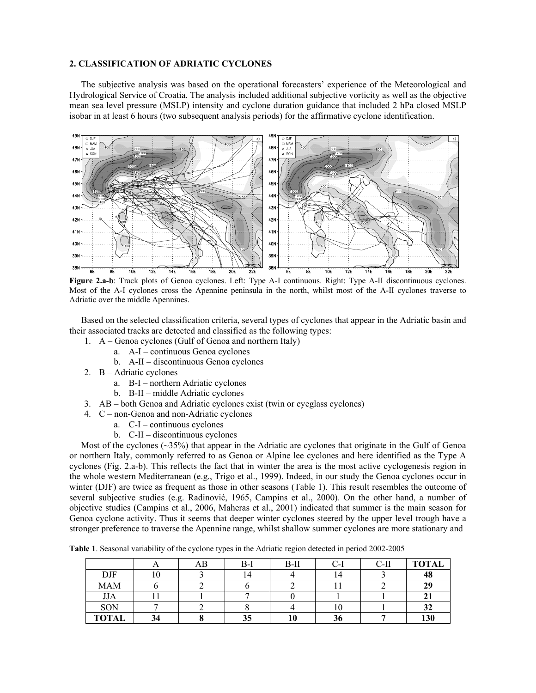# **2. CLASSIFICATION OF ADRIATIC CYCLONES**

The subjective analysis was based on the operational forecasters' experience of the Meteorological and Hydrological Service of Croatia. The analysis included additional subjective vorticity as well as the objective mean sea level pressure (MSLP) intensity and cyclone duration guidance that included 2 hPa closed MSLP isobar in at least 6 hours (two subsequent analysis periods) for the affirmative cyclone identification.



**Figure 2.a-b**: Track plots of Genoa cyclones. Left: Type A-I continuous. Right: Type A-II discontinuous cyclones. Most of the A-I cyclones cross the Apennine peninsula in the north, whilst most of the A-II cyclones traverse to Adriatic over the middle Apennines.

Based on the selected classification criteria, several types of cyclones that appear in the Adriatic basin and their associated tracks are detected and classified as the following types:

- 1. A Genoa cyclones (Gulf of Genoa and northern Italy)
	- a. A-I continuous Genoa cyclones
	- b. A-II discontinuous Genoa cyclones
- 2. B Adriatic cyclones
	- a. B-I northern Adriatic cyclones
	- b. B-II middle Adriatic cyclones
- 3. AB both Genoa and Adriatic cyclones exist (twin or eyeglass cyclones)
- 4. C non-Genoa and non-Adriatic cyclones
	- a. C-I continuous cyclones
	- b. C-II discontinuous cyclones

Most of the cyclones  $(\sim 35\%)$  that appear in the Adriatic are cyclones that originate in the Gulf of Genoa or northern Italy, commonly referred to as Genoa or Alpine lee cyclones and here identified as the Type A cyclones (Fig. 2.a-b). This reflects the fact that in winter the area is the most active cyclogenesis region in the whole western Mediterranean (e.g., Trigo et al., 1999). Indeed, in our study the Genoa cyclones occur in winter (DJF) are twice as frequent as those in other seasons (Table 1). This result resembles the outcome of several subjective studies (e.g. Radinović, 1965, Campins et al., 2000). On the other hand, a number of objective studies (Campins et al., 2006, Maheras et al., 2001) indicated that summer is the main season for Genoa cyclone activity. Thus it seems that deeper winter cyclones steered by the upper level trough have a stronger preference to traverse the Apennine range, whilst shallow summer cyclones are more stationary and

**Table 1**. Seasonal variability of the cyclone types in the Adriatic region detected in period 2002-2005

|              |    | AB | $B-I$ | $B-II$ | C-l | $C-II$ | <b>TOTAL</b> |
|--------------|----|----|-------|--------|-----|--------|--------------|
| DJF          | ΙV |    | 14    |        | 14  |        | 48           |
| <b>MAM</b>   |    |    |       |        |     |        | 29           |
| <b>JJA</b>   |    |    |       |        |     |        |              |
| SON          |    |    |       |        | 10  |        | 32           |
| <b>TOTAL</b> | 94 |    | 35    | 10     | 36  |        | 130          |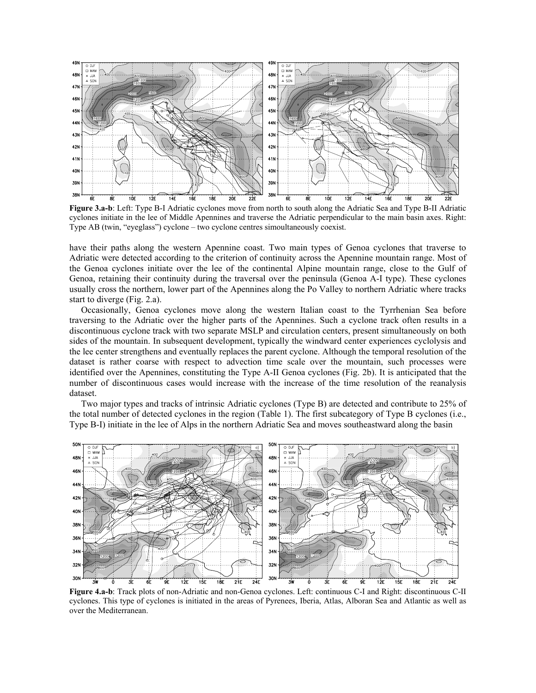

Figure 3.a-b: Left: Type B-I Adriatic cyclones move from north to south along the Adriatic Sea and Type B-II Adriatic cyclones initiate in the lee of Middle Apennines and traverse the Adriatic perpendicular to the main basin axes. Right: Type AB (twin, "eyeglass") cyclone – two cyclone centres simoultaneously coexist.

have their paths along the western Apennine coast. Two main types of Genoa cyclones that traverse to Adriatic were detected according to the criterion of continuity across the Apennine mountain range. Most of the Genoa cyclones initiate over the lee of the continental Alpine mountain range, close to the Gulf of Genoa, retaining their continuity during the traversal over the peninsula (Genoa A-I type). These cyclones usually cross the northern, lower part of the Apennines along the Po Valley to northern Adriatic where tracks start to diverge (Fig. 2.a).

Occasionally, Genoa cyclones move along the western Italian coast to the Tyrrhenian Sea before traversing to the Adriatic over the higher parts of the Apennines. Such a cyclone track often results in a discontinuous cyclone track with two separate MSLP and circulation centers, present simultaneously on both sides of the mountain. In subsequent development, typically the windward center experiences cyclolysis and the lee center strengthens and eventually replaces the parent cyclone. Although the temporal resolution of the dataset is rather coarse with respect to advection time scale over the mountain, such processes were identified over the Apennines, constituting the Type A-II Genoa cyclones (Fig. 2b). It is anticipated that the number of discontinuous cases would increase with the increase of the time resolution of the reanalysis dataset.

Two major types and tracks of intrinsic Adriatic cyclones (Type B) are detected and contribute to 25% of the total number of detected cyclones in the region (Table 1). The first subcategory of Type B cyclones (i.e., Type B-I) initiate in the lee of Alps in the northern Adriatic Sea and moves southeastward along the basin



**Figure 4.a-b**: Track plots of non-Adriatic and non-Genoa cyclones. Left: continuous C-I and Right: discontinuous C-II cyclones. This type of cyclones is initiated in the areas of Pyrenees, Iberia, Atlas, Alboran Sea and Atlantic as well as over the Mediterranean.